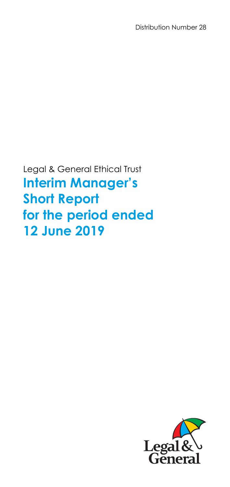Distribution Number 28

Legal & General Ethical Trust **Interim Manager's Short Report for the period ended 12 June 2019** 

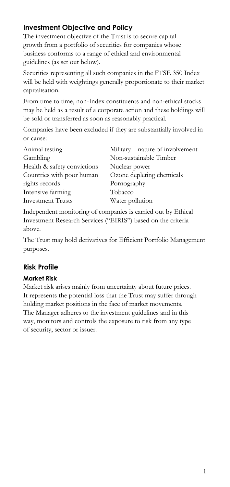## **Investment Objective and Policy**

The investment objective of the Trust is to secure capital growth from a portfolio of securities for companies whose business conforms to a range of ethical and environmental guidelines (as set out below).

Securities representing all such companies in the FTSE 350 Index will be held with weightings generally proportionate to their market capitalisation.

From time to time, non-Index constituents and non-ethical stocks may be held as a result of a corporate action and these holdings will be sold or transferred as soon as reasonably practical.

Companies have been excluded if they are substantially involved in or cause:

| Animal testing              | Military – nature of involvement |
|-----------------------------|----------------------------------|
| Gambling                    | Non-sustainable Timber           |
| Health & safety convictions | Nuclear power                    |
| Countries with poor human   | Ozone depleting chemicals        |
| rights records              | Pornography                      |
| Intensive farming           | Tobacco                          |
| <b>Investment Trusts</b>    | Water pollution                  |

Independent monitoring of companies is carried out by Ethical Investment Research Services ("EIRIS") based on the criteria above.

The Trust may hold derivatives for Efficient Portfolio Management purposes.

## **Risk Profile**

### **Market Risk**

Market risk arises mainly from uncertainty about future prices. It represents the potential loss that the Trust may suffer through holding market positions in the face of market movements. The Manager adheres to the investment guidelines and in this way, monitors and controls the exposure to risk from any type of security, sector or issuer.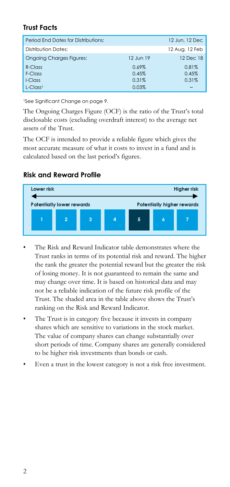## **Trust Facts**

| Period End Dates for Distributions: |           | 12 Jun. 12 Dec |
|-------------------------------------|-----------|----------------|
| Distribution Dates:                 |           | 12 Aug, 12 Feb |
| <b>Ongoing Charges Figures:</b>     | 12 Jun 19 | 12 Dec 18      |
| $R$ -Class                          | $0.69\%$  | 0.81%          |
| F-Class                             | 0.45%     | 0.45%          |
| I-Class                             | 0.31%     | 0.31%          |
| $L$ -Class <sup>1</sup>             | 0.03%     |                |

1See Significant Change on page 9.

The Ongoing Charges Figure (OCF) is the ratio of the Trust's total disclosable costs (excluding overdraft interest) to the average net assets of the Trust.

The OCF is intended to provide a reliable figure which gives the most accurate measure of what it costs to invest in a fund and is calculated based on the last period's figures.

## **Risk and Reward Profile**



- The Risk and Reward Indicator table demonstrates where the Trust ranks in terms of its potential risk and reward. The higher the rank the greater the potential reward but the greater the risk of losing money. It is not guaranteed to remain the same and may change over time. It is based on historical data and may not be a reliable indication of the future risk profile of the Trust. The shaded area in the table above shows the Trust's ranking on the Risk and Reward Indicator.
- The Trust is in category five because it invests in company shares which are sensitive to variations in the stock market. The value of company shares can change substantially over short periods of time. Company shares are generally considered to be higher risk investments than bonds or cash.
- Even a trust in the lowest category is not a risk free investment.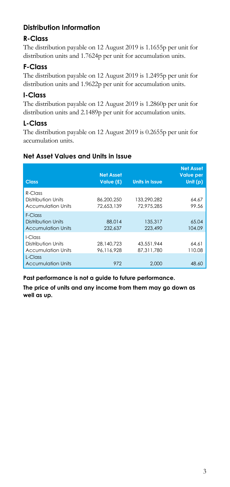# **Distribution Information**

## **R-Class**

The distribution payable on 12 August 2019 is 1.1655p per unit for distribution units and 1.7624p per unit for accumulation units.

# **F-Class**

The distribution payable on 12 August 2019 is 1.2495p per unit for distribution units and 1.9622p per unit for accumulation units.

## **I-Class**

The distribution payable on 12 August 2019 is 1.2860p per unit for distribution units and 2.1489p per unit for accumulation units.

## **L-Class**

The distribution payable on 12 August 2019 is 0.2655p per unit for accumulation units.

## **Net Asset Values and Units in Issue**

| <b>Class</b>                                                  | <b>Net Asset</b><br>Value (£) | <b>Units in Issue</b>     | <b>Net Asset</b><br><b>Value per</b><br>Unit $(p)$ |
|---------------------------------------------------------------|-------------------------------|---------------------------|----------------------------------------------------|
| $R$ -Class<br>Distribution Units<br><b>Accumulation Units</b> | 86.200.250<br>72.653.139      | 133.290.282<br>72.975.285 | 64.67<br>99.56                                     |
| F-Class<br>Distribution Units<br><b>Accumulation Units</b>    | 88,014<br>232.637             | 135,317<br>223,490        | 65.04<br>104.09                                    |
| I-Class<br>Distribution Units<br><b>Accumulation Units</b>    | 28.140.723<br>96.116.928      | 43,551,944<br>87.311.780  | 64.61<br>110.08                                    |
| $l$ -Class<br><b>Accumulation Units</b>                       | 972                           | 2,000                     | 48.60                                              |

**Past performance is not a guide to future performance.** 

**The price of units and any income from them may go down as well as up.**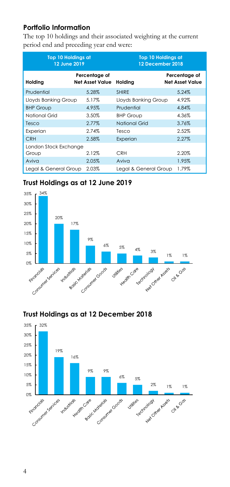## **Portfolio Information**

The top 10 holdings and their associated weighting at the current period end and preceding year end were:

| <b>Top 10 Holdings at</b><br>12 June 2019 |                                         | <b>Top 10 Holdings at</b><br>12 December 2018 |                                         |  |
|-------------------------------------------|-----------------------------------------|-----------------------------------------------|-----------------------------------------|--|
| Holding                                   | Percentage of<br><b>Net Asset Value</b> | Holding                                       | Percentage of<br><b>Net Asset Value</b> |  |
| Prudential                                | 5.28%                                   | <b>SHIRF</b>                                  | 5.24%                                   |  |
| Lloyds Banking Group                      | 5.17%                                   | Lloyds Banking Group                          | 4.92%                                   |  |
| <b>BHP Group</b>                          | 4.95%                                   | Prudential                                    | 4.84%                                   |  |
| National Grid                             | 3.50%                                   | <b>BHP Group</b>                              | 4.36%                                   |  |
| Tesco                                     | 2.77%                                   | <b>National Grid</b>                          | 3.76%                                   |  |
| Experian                                  | 2.74%                                   | Tesco                                         | 2.52%                                   |  |
| <b>CRH</b>                                | 2.58%                                   | Experian                                      | 2.27%                                   |  |
| London Stock Exchange                     |                                         |                                               |                                         |  |
| Group                                     | 2.12%                                   | <b>CRH</b>                                    | 2.20%                                   |  |
| Aviva                                     | 2.05%                                   | Aviva                                         | 1.95%                                   |  |
| Legal & General Group                     | 2.03%                                   | Legal & General Group                         | 1.79%                                   |  |

### **Trust Holdings as at 12 June 2019**



### **Trust Holdings as at 12 December 2018**

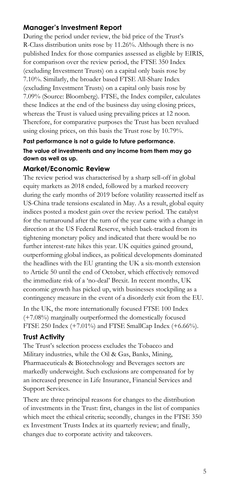### **Manager's Investment Report**

During the period under review, the bid price of the Trust's R-Class distribution units rose by 11.26%. Although there is no published Index for those companies assessed as eligible by EIRIS, for comparison over the review period, the FTSE 350 Index (excluding Investment Trusts) on a capital only basis rose by 7.10%. Similarly, the broader based FTSE All-Share Index (excluding Investment Trusts) on a capital only basis rose by 7.09% (Source: Bloomberg). FTSE, the Index compiler, calculates these Indices at the end of the business day using closing prices, whereas the Trust is valued using prevailing prices at 12 noon. Therefore, for comparative purposes the Trust has been revalued using closing prices, on this basis the Trust rose by 10.79%.

### **Past performance is not a guide to future performance. The value of investments and any income from them may go down as well as up.**

### **Market/Economic Review**

The review period was characterised by a sharp sell-off in global equity markets as 2018 ended, followed by a marked recovery during the early months of 2019 before volatility reasserted itself as US-China trade tensions escalated in May. As a result, global equity indices posted a modest gain over the review period. The catalyst for the turnaround after the turn of the year came with a change in direction at the US Federal Reserve, which back-tracked from its tightening monetary policy and indicated that there would be no further interest-rate hikes this year. UK equities gained ground, outperforming global indices, as political developments dominated the headlines with the EU granting the UK a six-month extension to Article 50 until the end of October, which effectively removed the immediate risk of a 'no-deal' Brexit. In recent months, UK economic growth has picked up, with businesses stockpiling as a contingency measure in the event of a disorderly exit from the EU.

In the UK, the more internationally focused FTSE 100 Index (+7.08%) marginally outperformed the domestically focused FTSE 250 Index (+7.01%) and FTSE SmallCap Index (+6.66%).

#### **Trust Activity**

The Trust's selection process excludes the Tobacco and Military industries, while the Oil & Gas, Banks, Mining, Pharmaceuticals & Biotechnology and Beverages sectors are markedly underweight. Such exclusions are compensated for by an increased presence in Life Insurance, Financial Services and Support Services.

There are three principal reasons for changes to the distribution of investments in the Trust: first, changes in the list of companies which meet the ethical criteria; secondly, changes in the FTSE 350 ex Investment Trusts Index at its quarterly review; and finally, changes due to corporate activity and takeovers.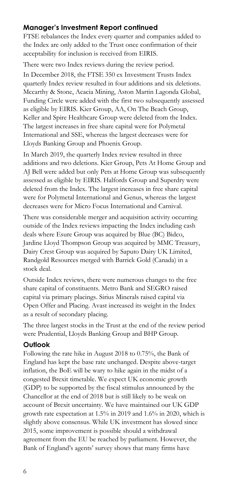### **Manager's Investment Report continued**

FTSE rebalances the Index every quarter and companies added to the Index are only added to the Trust once confirmation of their acceptability for inclusion is received from EIRIS.

There were two Index reviews during the review period. In December 2018, the FTSE 350 ex Investment Trusts Index quarterly Index review resulted in four additions and six deletions. Mccarthy & Stone, Acacia Mining, Aston Martin Lagonda Global, Funding Circle were added with the first two subsequently assessed as eligible by EIRIS. Kier Group, AA, On The Beach Group, Keller and Spire Healthcare Group were deleted from the Index. The largest increases in free share capital were for Polymetal International and SSE, whereas the largest decreases were for Lloyds Banking Group and Phoenix Group.

In March 2019, the quarterly Index review resulted in three additions and two deletions. Kier Group, Pets At Home Group and AJ Bell were added but only Pets at Home Group was subsequently assessed as eligible by EIRIS. Halfords Group and Superdry were deleted from the Index. The largest increases in free share capital were for Polymetal International and Genus, whereas the largest decreases were for Micro Focus International and Carnival.

There was considerable merger and acquisition activity occurring outside of the Index reviews impacting the Index including cash deals where Esure Group was acquired by Blue (BC) Bidco, Jardine Lloyd Thompson Group was acquired by MMC Treasury, Dairy Crest Group was acquired by Saputo Dairy UK Limited, Randgold Resources merged with Barrick Gold (Canada) in a stock deal.

Outside Index reviews, there were numerous changes to the free share capital of constituents. Metro Bank and SEGRO raised capital via primary placings. Sirius Minerals raised capital via Open Offer and Placing. Avast increased its weight in the Index as a result of secondary placing.

The three largest stocks in the Trust at the end of the review period were Prudential, Lloyds Banking Group and BHP Group.

### **Outlook**

Following the rate hike in August 2018 to 0.75%, the Bank of England has kept the base rate unchanged. Despite above-target inflation, the BoE will be wary to hike again in the midst of a congested Brexit timetable. We expect UK economic growth (GDP) to be supported by the fiscal stimulus announced by the Chancellor at the end of 2018 but is still likely to be weak on account of Brexit uncertainty. We have maintained our UK GDP growth rate expectation at 1.5% in 2019 and 1.6% in 2020, which is slightly above consensus. While UK investment has slowed since 2015, some improvement is possible should a withdrawal agreement from the EU be reached by parliament. However, the Bank of England's agents' survey shows that many firms have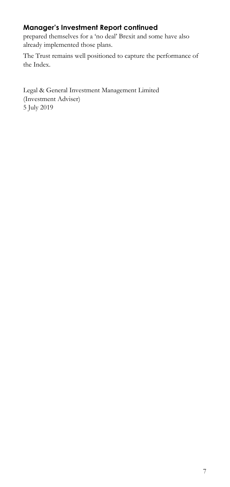## **Manager's Investment Report continued**

prepared themselves for a 'no deal' Brexit and some have also already implemented those plans.

The Trust remains well positioned to capture the performance of the Index.

Legal & General Investment Management Limited (Investment Adviser) 5 July 2019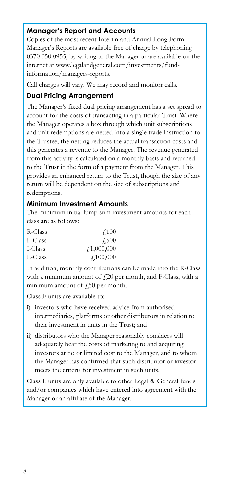### **Manager's Report and Accounts**

Copies of the most recent Interim and Annual Long Form Manager's Reports are available free of charge by telephoning 0370 050 0955, by writing to the Manager or are available on the internet at www.legalandgeneral.com/investments/fundinformation/managers-reports.

Call charges will vary. We may record and monitor calls.

### **Dual Pricing Arrangement**

The Manager's fixed dual pricing arrangement has a set spread to account for the costs of transacting in a particular Trust. Where the Manager operates a box through which unit subscriptions and unit redemptions are netted into a single trade instruction to the Trustee, the netting reduces the actual transaction costs and this generates a revenue to the Manager. The revenue generated from this activity is calculated on a monthly basis and returned to the Trust in the form of a payment from the Manager. This provides an enhanced return to the Trust, though the size of any return will be dependent on the size of subscriptions and redemptions.

#### **Minimum Investment Amounts**

The minimum initial lump sum investment amounts for each class are as follows:

| R-Class | $\angle 100$     |
|---------|------------------|
| F-Class | <b>£500</b>      |
| I-Class | f1,000,000       |
| L-Class | $\angle 100,000$ |

In addition, monthly contributions can be made into the R-Class with a minimum amount of  $f(20)$  per month, and F-Class, with a minimum amount of  $\zeta$ 50 per month.

Class F units are available to:

- i) investors who have received advice from authorised intermediaries, platforms or other distributors in relation to their investment in units in the Trust; and
- ii) distributors who the Manager reasonably considers will adequately bear the costs of marketing to and acquiring investors at no or limited cost to the Manager, and to whom the Manager has confirmed that such distributor or investor meets the criteria for investment in such units.

Class L units are only available to other Legal & General funds and/or companies which have entered into agreement with the Manager or an affiliate of the Manager.

Ļ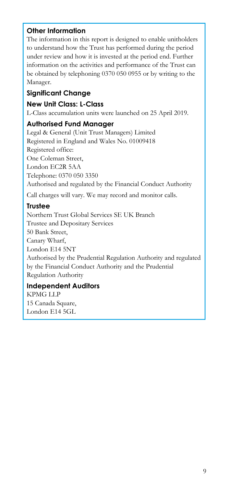## **Other Information**

The information in this report is designed to enable unitholders to understand how the Trust has performed during the period under review and how it is invested at the period end. Further information on the activities and performance of the Trust can be obtained by telephoning 0370 050 0955 or by writing to the Manager.

### **Significant Change**

### **New Unit Class: L-Class**

L-Class accumulation units were launched on 25 April 2019.

### **Authorised Fund Manager**

Legal & General (Unit Trust Managers) Limited Registered in England and Wales No. 01009418 Registered office: One Coleman Street, London EC2R 5AA Telephone: 0370 050 3350 Authorised and regulated by the Financial Conduct Authority

Call charges will vary. We may record and monitor calls.

## **Trustee**

Northern Trust Global Services SE UK Branch Trustee and Depositary Services 50 Bank Street, Canary Wharf, London E14 5NT Authorised by the Prudential Regulation Authority and regulated by the Financial Conduct Authority and the Prudential Regulation Authority

## **Independent Auditors**

KPMG LLP 15 Canada Square, London E14 5GL